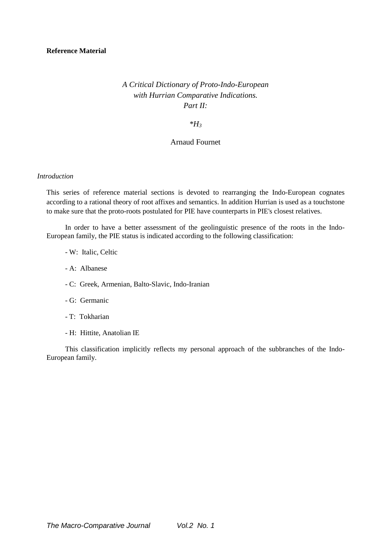# *A Critical Dictionary of Proto-Indo-European with Hurrian Comparative Indications. Part II:*

### *\*H<sup>3</sup>*

# Arnaud Fournet

#### *Introduction*

This series of reference material sections is devoted to rearranging the Indo-European cognates according to a rational theory of root affixes and semantics. In addition Hurrian is used as a touchstone to make sure that the proto-roots postulated for PIE have counterparts in PIE's closest relatives.

In order to have a better assessment of the geolinguistic presence of the roots in the Indo-European family, the PIE status is indicated according to the following classification:

- W: Italic, Celtic
- A: Albanese
- C: Greek, Armenian, Balto-Slavic, Indo-Iranian
- G: Germanic
- T: Tokharian
- H: Hittite, Anatolian IE

This classification implicitly reflects my personal approach of the subbranches of the Indo-European family.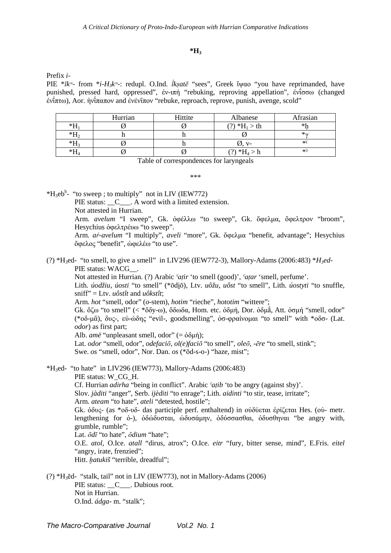## **\*H<sup>3</sup>**

Prefix *i*-

PIE \**īkʷ*- from \**i-H3kʷ*-: redupl. O.Ind. *ī́kṣatē* "sees", Greek ἴψαο "you have reprimanded, have punished, pressed hard, oppressed", ἐν-ιπή "rebuking, reproving appellation", ἐνίσσω (changed ενίπτω), Aor. ἠνίπαπον and ενένιπον "rebuke, reproach, reprove, punish, avenge, scold"

|      | Hurrian | Hittite | Albanese                | Afrasian     |
|------|---------|---------|-------------------------|--------------|
| *Н   |         |         | $(?) * H_1 > th$        | *1           |
| $*H$ |         |         |                         | $*_{\alpha}$ |
| *H   |         |         |                         | $*\`$        |
| *Н   |         |         | $\mathcal{D}$ *H $\sim$ | $*$          |

Table of correspondences for laryngeals

\*\*\*

 $*H_3eb^h$ - "to sweep; to multiply" not in LIV (IEW772) PIE status:  $\begin{array}{c} \nC \n\end{array}$  A word with a limited extension. Not attested in Hurrian. Arm. *avelum* "I sweep", Gk. ὀφέλλω "to sweep", Gk. ὄφελµα, ὄφελτρον "broom", Hesychius όφελτρέυω "to sweep". Arm. *aṙ-avelum* "I multiply", *aveli* "more", Gk. ὄφελµα "benefit, advantage"; Hesychius ὄφελος "benefit", ὠφελέω "to use".

(?) \*H3ed- "to smell, to give a smell" in LIV296 (IEW772-3), Mallory-Adams (2006:483) \**H3ed*-PIE status: WACG\_\_.

Not attested in Hurrian. (?) Arabic *ˁaṭir* 'to smell (good)', *ˁaṭar* 'smell, perfume'. Lith. *úodžiu*, *úosti* "to smell" (\*ōdiō), Ltv. *uôžu*, *uôst* "to smell", Lith. *úostyti* "to snuffle, sniff" = Ltv. *uôstît* and *uôkstît*;

Arm. *hot* "smell, odor" (*o*-stem), *hotim* "rieche", *hototim* "wittere";

Gk. ὄζω "to smell" (< \*ὄδy-ω), ὄδωδα, Hom. etc. ὀδµή, Dor. ὀδµā́, Att. ὀσµή "smell, odor" (\*οδ-µᾱ), δυς-, εὐ-ώδης "evil-, goodsmelling", ὀσ-φραίνοµαι "to smell" with \*οδσ- (Lat. *odor*) as first part;

Alb. *amë* "unpleasant smell, odor"  $(=\dot{\phi}\delta\mu\dot{\eta})$ ;

Lat. *odor* "smell, odor", *odefaciō*, *ol(e)faciō* "to smell", *oleō*, -*ēre* "to smell, stink";

Swe. *os* "smell, odor", Nor. Dan. *os* (\*ōd-s-o-) "haze, mist";

 $*H_3$ ed- "to hate" in LIV296 (IEW773), Mallory-Adams (2006:483) PIE status: W\_CG\_H. Cf. Hurrian *adirha* "being in conflict". Arabic *ˁaṭib* 'to be angry (against sby)'. Slov. *jàditi* "anger", Serb. *ijèditi* "to enrage"; Lith. *aidinti* "to stir, tease, irritate"; Arm. *ateam* "to hate", *ateli* "detested, hostile"; Gk. ὀδυς- (as \*οδ-υδ- das participle perf. enthaltend) in οὐδύεται ἐρίζεται Hes. (οὐ- metr. lengthening for  $\dot{\theta}$ -),  $\dot{\theta} \delta \dot{\omega} \delta \dot{\nu} \sigma \alpha \dot{\alpha} \mu \nu$ ,  $\dot{\theta} \delta \dot{\nu} \sigma \alpha \dot{\alpha} \theta \alpha$ ,  $\dot{\theta} \delta \dot{\nu} \sigma \theta \eta \nu \alpha$  "be angry with, grumble, rumble"; Lat. *ōdī* "to hate", *ŏdium* "hate"; O.E. *atol*, O.Ice. *atall* "dirus, atrox"; O.Ice. *eitr* "fury, bitter sense, mind", E.Fris. *eitel* "angry, irate, frenzied"; Hitt. *ḫatukiš* "terrible, dreadful";

(?) \*H3ēd- "stalk, tail" not in LIV (IEW773), not in Mallory-Adams (2006) PIE status: C . Dubious root. Not in Hurrian. O.Ind. *ádga*- m. "stalk";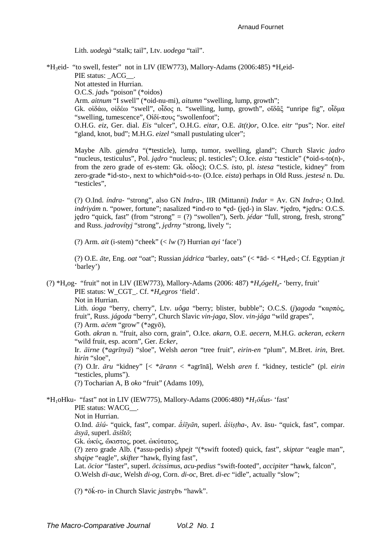Lith. uodegà "stalk; tail", Ltv. uodega "tail".

\*H<sub>3</sub>eid- "to swell, fester" not in LIV (IEW773), Mallory-Adams (2006:485) \*H<sub>a</sub>eid-PIE status: ACG . Not attested in Hurrian. O.C.S. jadv "poison" (\*oidos) Arm. aitnum "I swell" (\*oid-nu-mi), aitumn "swelling, lump, growth"; Gk.  $o$ i $\delta \alpha$ ,  $o$ i $\delta \epsilon$  "swell",  $o$ i $\delta$ o $\epsilon$  n. "swelling, lump, growth",  $o$ i $\delta \alpha \xi$  "unripe fig",  $o$ i $\delta \alpha$ "swelling, tumescence", Οἰδί-πους "swollenfoot"; O.H.G. eiz, Ger. dial. Eis "ulcer", O.H.G. eitar, O.E. āt(t)or, O.Ice. eitr "pus"; Nor. eitel "gland, knot, bud"; M.H.G. eizel "small pustulating ulcer"; Maybe Alb. gjendra "(\*testicle), lump, tumor, swelling, gland"; Church Slavic jadro "nucleus, testiculus", Pol. jądro "nucleus; pl. testicles"; O.Ice. eista "testicle" (\*oid-s-to(n)-, from the zero grade of es-stem: Gk. olooc); O.C.S. isto, pl. istesa "testicle, kidney" from zero-grade \*id-sto-, next to which\*oid-s-to- (O.Ice. eista) perhaps in Old Russ. jestese n. Du. "testicles", (?) O.Ind. *indra*- "strong", also GN *Indra*-, IIR (Mittanni) *Indar* = Av. GN *Indra*-; O.Ind. *indrivám* n. "power, fortune"; nasalized \*ind-ro to \*ed- (ied-) in Slav, \*iedro, \*iedr<sub>15</sub>; O.C.S. jedro "quick, fast" (from "strong" =  $(?)$  "swollen"), Serb. *jédar* "full, strong, fresh, strong" and Russ. jadrovítyj "strong", jędrny "strong, lively "; (?) Arm. *ait* (i-stem) "cheek"  $\langle \langle lw \rangle$ ?) Hurrian *avi* 'face') (?) O.E. āte, Eng. oat "oat"; Russian jádrica "barley, oats" (< \*ād- < \*H<sub>4</sub>ed-; Cf. Egyptian jt 'barley') (?) \*H<sub>a</sub>og- "fruit" not in LIV (IEW773), Mallory-Adams (2006: 487) \* $H_a \acute{o}$ geH<sub>a</sub>- 'berry, fruit' PIE status: W\_CGT\_. Cf. \*H<sub>a</sub>egros 'field'. Not in Hurrian. Lith. úoga "berry, cherry", Ltv. uôga "berry; blister, bubble"; O.C.S. (j)agoda "καρπός, fruit", Russ. jágoda "berry", Church Slavic vin-jaga, Slov. vin-jága "wild grapes", (?) Arm.  $a\check{c}em$  "grow" (\*2gyō), Goth. akran n. "fruit, also corn, grain", O.Ice. akarn, O.E. aecern, M.H.G. ackeran, eckern "wild fruit, esp. acorn", Ger. Ecker, Ir. āirne (\*agrīnyā) "sloe". Welsh aeron "tree fruit", eirin-en "plum", M.Bret. irin, Bret. hirin "sloe". (?) O.Ir.  $\bar{a}ru$  "kidney" [< \* $\bar{a}rann$  < \*agrīnā], Welsh aren f. "kidney, testicle" (pl. eirin "testicles, plums"). (?) Tocharian A, B oko "fruit" (Adams 109), \*H<sub>1</sub>oHku- "fast" not in LIV (IEW775), Mallory-Adams (2006:480) \* $H_1 \bar{\sigma}$ *kus*- 'fast' PIE status: WACG . Not in Hurrian. O.Ind. āśú- "quick, fast", compar. as ivan, superl. as istha-, Av. asu- "quick, fast", compar.  $\overline{a}$ sv $\overline{a}$ , superl.  $\overline{a}$ sišt $\overline{o}$ ; Gk. ώκύς, ώκιστος, poet. ώκύτατος,

(?) zero grade Alb. (\*assu-pedis) *shpejt* "(\*swift footed) quick, fast", *skiptar* "eagle man", shqipe "eagle", skifter "hawk, flying fast",

Lat. ōcior "faster", superl. ōcissimus, acu-pedius "swift-footed", accipiter "hawk, falcon". O.Welsh di-auc, Welsh di-og, Corn. di-oc, Bret. di-ec "idle", actually "slow";

(?)  $*\bar{0}$ k-ro- in Church Slavic *jastręb* i'hawk''.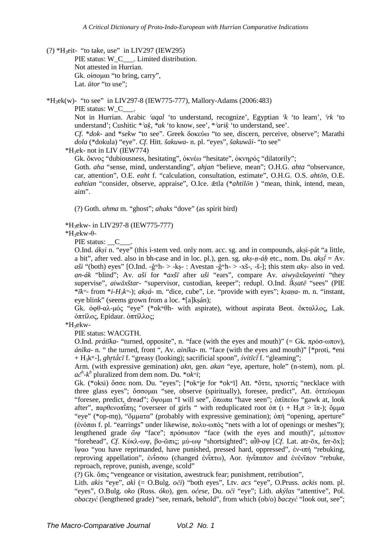(?) \*H<sub>3</sub>eit- "to take, use" in LIV297 (IEW295) PIE status: W\_C\_\_\_. Limited distribution. Not attested in Hurrian. Gk. οίσοµαι "to bring, carry", Lat. *ūtor* "to use";

 $*H_3ek(w)$ - "to see" in LIV297-8 (IEW775-777), Mallory-Adams (2006:483) PIE status: W\_C\_

Not in Hurrian. Arabic *ˁaqal* 'to understand, recognize', Egyptian *ˁk* 'to learn', *ˁrk* 'to understand'; Cushitic \**ˀaḳ, \*ak* 'to know, see', \**ˀariḳ* 'to understand, see'.

*Cf*. \**dok*- and \**sekw* "to see". Greek δοκεύω "to see, discern, perceive, observe"; Marathi *dola* (\*dokula) "eye". *Cf*. Hitt. *šakuwa*- n. pl. "eyes", *šakuwāi*- "to see"

 $*H_3$ ek- not in LIV (IEW774)

Gk. ὄκνος "dubiousness, hesitating", ὀκνέω "hesitate", ὀκνηρός "dilatorily";

Goth. *aha* "sense, mind, understanding", *ahjan* "believe, mean"; O.H.G. *ahta* "observance, car, attention", O.E. *eaht* f. "calculation, consultation, estimate", O.H.G. O.S. *ahtōn*, O.E. *eahtian* "consider, observe, appraise", O.Ice. ǣtla (\**ahtilōn* ) "mean, think, intend, mean, aim".

(?) Goth. *ahma* m. "ghost"; *ahaks* "dove" (as spirit bird)

\*H3ekw- in LIV297-8 (IEW775-777)

\*H3ekw-θ-

PIE status: C

O.Ind. *ákṣi* n. "eye" (this i-stem ved. only nom. acc. sg. and in compounds, akṣi-pát "a little, a bit", after ved. also in bh-case and in loc. pl.), gen. sg. *akṣ-ṇ-áḥ* etc., nom. Du. *akṣī́* = Av.  $a\ddot{s}i$  "(both) eyes" [O.Ind. -ĝ<sup>w</sup>h- > -kṣ- : Avestan -ĝ<sup>w</sup>h- > -xš-, -š-]; this stem *aks*- also in ved. *an-ák* "blind"; Av. *aši* for \**axšī* after *uši* "ears", compare Av. *aiwyāxšayeinti* "they supervise", *aiwāxštar*- "supervisor, custodian, keeper"; redupl. O.Ind. *ī́kṣatē* "sees" (PIE \**īkʷ*- from \**i-H3kʷ*-); *akṣá*- m. "dice, cube", i.e. "provide with eyes"; *kṣaṇa*- m. n. "instant, eye blink" (seems grown from a loc. \*[a]ksán);

Gk. ὀφθ-αλ-µός "eye" (\*okʷθh- with aspirate), without aspirata Beot. ὄκταλλος, Lak. ὀπτίλος, Epidaur. ὀπτίλλος;

\*H3ekw-

PIE status: WACGTH.

O.Ind. *prátīka*- "turned, opposite", n. "face (with the eyes and mouth)" (= Gk. πρόσ-ωπον), *ánīka*- n. " the turned, front ", Av. *ainīka*- m. "face (with the eyes and mouth)" [\*proti, \*eni + H3kʷ-], *ghr̥tā́cī* f. "greasy (looking); sacrificial spoon", *śvitīcī́* f. "gleaming";

Arm. (with expressive gemination) *akn*, gen. *akan* "eye, aperture, hole" (n-stem), nom. pl.  $ac^{h}$ - $k^{h}$  pluralized from dem nom. Du. \* $ok^{w}i$ ;

Gk. (\*oksi) ὄσσε nom. Du. "eyes"; [\*okʷi̯e for \*okʷī] Att. \* στε, τριοττίς "necklace with three glass eyes"; ὄσσοµαι "see, observe (spiritually), foresee, predict", Att. ὀττεύοµαι "foresee, predict, dread"; ὄψομαι "I will see", ὅπωπα "have seen"; ὀπιπεύω "gawk at, look after", παρθενοπίπης "overseer of girls " with reduplicated root όπ (ι + H<sub>3</sub>π >  $\overline{\tau}$ ); ὄμμα "eye" (\*op-mn), "ὄμματα" (probably with expressive gemination); ὀπή "opening, aperture" (ἐνόπαι f. pl. "earrings" under likewise, πολυ-ωπός "nets with a lot of openings or meshes"); lengthened grade ὤψ "face"; πρόσωπον "face (with the eyes and mouth)", µέτωπον "forehead", *Cf*. Κύκλ-ωψ, βο-ῶπις; µύ-ωψ "shortsighted"; αἶθ-οψ [*Cf*. Lat. atr-ōx, fer-ōx]; ἴψαο "you have reprimanded, have punished, pressed hard, oppressed", ἐν-ιπή "rebuking, reproving appellation", ἐντσσω (changed ἐντπτω), Aor. ἠντπαπον and ἐνέντπον "rebuke, reproach, reprove, punish, avenge, scold"

(?) Gk. ὄπις "vengeance or visitation, awestruck fear; punishment, retribution",

Lith. *akìs* "eye", *akì* (= O.Bulg. *oči*) "both eyes", Ltv. *acs* "eye", O.Pruss. *ackis* nom. pl. "eyes", O.Bulg. *oko* (Russ. *óko*), gen. *očese*, Du. *oči* "eye"; Lith. *akýlas* "attentive", Pol. *obaczyć* (lengthened grade) "see, remark, behold", from which (ob/o) *baczyć* "look out, see";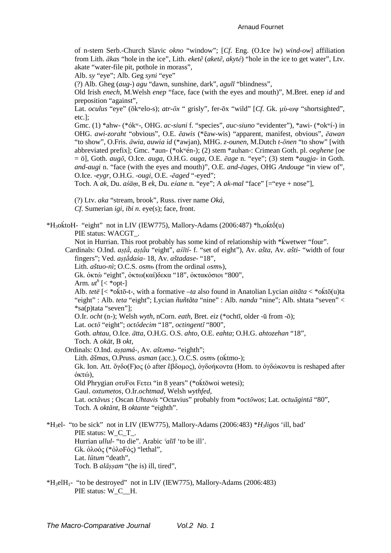of n-stem Serb.-Church Slavic *okno* "window"; [*Cf*. Eng. (O.Ice lw) *wind-ow*] affiliation from Lith. *ākas* "hole in the ice", Lith. *eketẽ* (*aketẽ*, *akytė*) "hole in the ice to get water", Ltv. akate "water-file pit, pothole in morass",

Alb. *sy* "eye"; Alb. Geg *syni* "eye"

(?) Alb. Gheg (*aug*-) *agu* "dawn, sunshine, dark", *agull* "blindness",

Old Irish *enech*, M.Welsh *enep* "face, face (with the eyes and mouth)", M.Bret. enep *id* and preposition "against",

Lat. *oculus* "eye" (ōkʷelo-s); *atr-ōx* " grisly", fer-ōx "wild" [*Cf*. Gk. µύ-ωψ "shortsighted", etc.];

Gmc. (1) \*ahw- (\*ókʷ-, OHG. *ac-siuni* f. "species", *auc-siuno* "evidenter"), \*awi- (\*okʷí-) in OHG. *awi-zoraht* "obvious", O.E. *ēawis* (\*ēaw-wis) "apparent, manifest, obvious", *ēawan* "to show", O.Fris. *āwia*, *auwia id* (\*awjan), MHG. *z-ounen*, M.Dutch *t-ōnen* "to show" [with abbreviated prefix]; Gmc. \*aun- (\*okʷén-); (2) stem \*auhan-: Crimean Goth. pl. *oeghene* [oe = ö], Goth. *augō*, O.Ice. *auga*, O.H.G. *ouga*, O.E. *ēage* n. "eye"; (3) stem \**augja*- in Goth. *and-augi* n. "face (with the eyes and mouth)", O.E. *and-ēages*, OHG *Andouge* "in view of", O.Ice. -*eygr*, O.H.G. -*ougi*, O.E. -*ēaged* "-eyed";

Toch. A *ak*, Du. *aśäṃ*, В *ek*, Du. *eśane* n. "eye"; A *ak*-*mal* "face" [="eye + nose"],

(?) Ltv. *aka* "stream, brook", Russ. river name *Oká*, *Cf*. Sumerian *igi*, *ibi n*. eye(s); face, front.

 $*H_3$ o $\acute{k}$ toH- "eight" not in LIV (IEW775), Mallory-Adams (2006:487)  $*h_x$ o $\acute{k}t\acute{o}(u)$ PIE status: WACGT.

Not in Hurrian. This root probably has some kind of relationship with \*kwetwer "four".

Cardinals: O.Ind. *aṣṭā́*, *aṣṭā́u* "eight", *aśītí*- f. "set of eight"), Av. *ašta*, Av. *ašti*- "width of four fingers"; Ved. *aṣṭā́daśa*- 18, Av. *aštadase*- "18",

Lith. *aštuo-nì*; O.C.S. *osmь* (from the ordinal *оsmъ*),

Gk. ὀκτώ "eight", ὀκτω(καί)δεκα "18", ὀκτακόσιοι "800",

Arm.  $ut^h$  [< \*opt-]

Alb. *tetë* [< \*oḱtō-t-, with a formative –*ta* also found in Anatolian Lycian *aitãta* < \*oḱtō(u)ta "eight" : Alb. *teta* "eight"; Lycian *ñuñtãta* "nine" : Alb. *nanda* "nine"; Alb. shtata "seven" < \*sa(p)tata "seven"];

O.Ir. *ocht* (n-); Welsh *wyth*, nCorn. *eath*, Bret. *eiz* (\*ochtī, older -ū from -ō);

Lat. *octō* "eight"; *octōdecim* "18", *octingentī* "800",

Goth. *ahtau*, O.Ice. *ātta*, O.H.G. O.S. *ahto*, O.E. *eahta*; O.H.G. *ahtozehan* "18",

Toch. A *okät*, В *okt*,

Ordinals: O.Ind. *aṣṭamá*-, Av. *aštǝma*- "eighth";

Lith. *ãšmas*, O.Pruss. *asman* (acc.), O.C.S. *osmъ* (oḱtmo-);

Gk. Ion. Att. ὄγδο(F)ος (ὁ after ἕβδοµος), ὀγδοήκοντα (Hom. to ὀγδώκοντα is reshaped after ὀκτώ),

Old Phrygian οτυFοι Fετει "in 8 years" (\*oḱtōwoi wetesi);

Gaul. *oxtumetos*, O.Ir.*ochtmad*, Welsh *wythfed*,

Lat. *octāvus* ; Oscan *Uhtavis* "Octavius" probably from \**octōwos*; Lat. *octuāgintā* "80", Toch. A *oktänt*, В *oktante* "eighth".

\*H3el- "to be sick" not in LIV (IEW775), Mallory-Adams (2006:483) \**H3ligos* 'ill, bad' PIE status: W\_C\_T\_. Hurrian *ullul-* "to die". Arabic *ˁalīl* 'to be ill'. Gk. ὀλοός (\*ὀλοFός) "lethal", Lat. *lūtum* "death", Toch. B *alāṣṣam* "(he is) ill, tired",

\*H3elH1- "to be destroyed" not in LIV (IEW775), Mallory-Adams (2006:483) PIE status: W\_C\_\_H.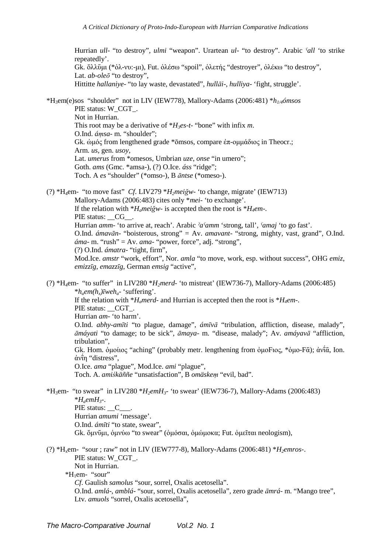Hurrian ull- "to destroy", ulmi "weapon". Urartean ul- "to destroy". Arabic 'all 'to strike repeatedly'. Gk. ὄλλῦμι (\* όλ-νυ:-μι), Fut. ὀλέσω "spoil", ὀλετής "destroyer", ὀλέκω "to destroy", Lat. *ab-oleō* "to destroy". Hittitte hallanive- "to lay waste, devastated", hullai-, hulliva- 'fight, struggle'.

\*H<sub>3</sub>em(e)sos "shoulder" not in LIV (IEW778), Mallory-Adams (2006:481) \*h<sub>1/4</sub>ómsos PIE status: W CGT. Not in Hurrian. This root may be a derivative of  $*H_3es-t$ - "bone" with infix m. O.Ind. ámsa- m. "shoulder"; Gk.  $\phi$ μός from lengthened grade \* $\bar{\phi}$ msos, compare  $\dot{\epsilon}\pi$ -ομμάδιος in Theocr.: Arm. us, gen. usov, Lat. umerus from \*omesos, Umbrian uze, onse "in umero"; Goth. ams (Gmc. \*amsa-), (?) O.Ice. áss "ridge"; Toch. A es "shoulder" (\*omso-), B āntse (\*omeso-).

(?) \*H<sub>4</sub>em- "to move fast" Cf. LIV279 \*H<sub>2</sub>meiğw- 'to change, migrate' (IEW713) Mallory-Adams (2006:483) cites only \*mei- 'to exchange'. If the relation with  $*H<sub>a</sub>mei\check{e}w$ - is accepted then the root is  $*H<sub>a</sub>em$ -. PIE status: CG . Hurrian amm-'to arrive at, reach'. Arabic 'a'amm 'strong, tall', 'amaj 'to go fast'. O.Ind. *ámavān*- "boisterous, strong" = Av. *amavant*- "strong, mighty, vast, grand", O.Ind.  $\hat{a}$ ma- m. "rush" = Av. ama- "power, force", adj. "strong", (?) O.Ind. ámatra- "tight, firm", Mod.Ice. amstr "work, effort", Nor. amla "to move, work, esp. without success", OHG emiz, emizzīg, emazzīg, German emsig "active",

(?) \*H<sub>4</sub>em- "to suffer" in LIV280 \*H<sub>2</sub>merd- 'to mistreat' (IEW736-7), Mallory-Adams (2006:485)  $*_{h,em(h,)}$  *weh<sub>a</sub>*- 'suffering'. If the relation with  $*H_{a}$  merd- and Hurrian is accepted then the root is  $*H_{a}$ em-. PIE status: CGT. Hurrian am-'to harm'. O.Ind. abhy-amīti "to plague, damage", ámīvā "tribulation, affliction, disease, malady", āmáyati "to damage; to be sick", āmaya- m. "disease, malady"; Av. amáyavā "affliction, tribulation". Gk. Hom. outloc "aching" (probably metr. lengthening from outloc, \*outloc- $\vec{\alpha}$ );  $\alpha \nu \tilde{\alpha}$ , Ion. άντη "distress". O.Ice. ama "plague", Mod.Ice. ami "plague", Toch. A. amiśkäññe "unsatisfaction", B omäskem "evil, bad". \*H<sub>3</sub>em- "to swear" in LIV280 \*H<sub>2</sub>emH<sub>3</sub>- 'to swear' (IEW736-7), Mallory-Adams (2006:483)  $*H_{\alpha}$ emH<sub>3</sub>-. PIE status: C. Hurrian amumi 'message'. O.Ind. ámīti "to state, swear", Gk. ὄμνῦμι, ὀμνύω "to swear" (ὀμόσαι, ὀμώμοκα; Fut. ὀμεῖται neologism), (?) \*H<sub>x</sub>em- "sour ; raw" not in LIV (IEW777-8), Mallory-Adams (2006:481) \* $H_2emros$ -. PIE status: W CGT. Not in Hurrian. \*H<sub>1</sub>em- "sour" Cf. Gaulish samolus "sour, sorrel, Oxalis acetosella". O.Ind. amlá-, amblá- "sour, sorrel, Oxalis acetosella", zero grade āmrá- m. "Mango tree", Ltv. amuols "sorrel, Oxalis acetosella",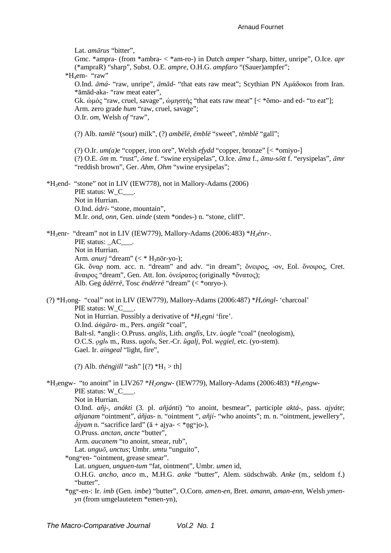Lat. amārus "bitter",

Gmc. \*ampra- (from \*ambra- < \*am-ro-) in Dutch *amper* "sharp, bitter, unripe", O.Ice. apr (\*ampraR) "sharp", Subst. O.E. ampre, O.H.G. ampfaro "(Sauer)ampfer";

\*H<sub>i</sub>em- "raw"

O.Ind. āmá- "raw, unripe", āmād- "that eats raw meat": Scythian PN Αμάδοκοι from Iran. \*āmād-aka- "raw meat eater",

Gk. ἀμός "raw, cruel, savage", ἀμηστής "that eats raw meat"  $\leq$  \* $\bar{\text{om}}$  and ed- "to eat"]; Arm. zero grade hum "raw, cruel, savage";

O.Ir. om, Welsh of "raw",

(?) Alb. tamlë "(sour) milk", (?) ambëlë, ëmblë "sweet", tëmblë "gall";

(?) O.Ir.  $um(a)e$  "copper, iron ore", Welsh *efydd* "copper, bronze" [< \*omiyo-] (?) O.E. ōm m. "rust", ōme f. "swine erysipelas", O.Ice. āma f., āmu-sōtt f. "erysipelas", āmr "reddish brown", Ger. Ahm, Ohm "swine erysipelas";

\*H<sub>3</sub>end- "stone" not in LIV (IEW778), not in Mallory-Adams (2006) PIE status: W C . Not in Hurrian. O.Ind. *ádri*- "stone, mountain". M.Ir. ond, onn, Gen. uinde (stem \*ondes-) n. "stone, cliff".

\*H<sub>3</sub>enr- "dream" not in LIV (IEW779), Mallory-Adams (2006:483) \*H<sub>3</sub>énr-. PIE status: AC . Not in Hurrian. Arm. anurj "dream" (< \*  $H_3$ nōr-yo-); Gk. ὄναρ nom. acc. n. "dream" and adv. "in dream"; ὄνειρος, -ον, Eol. ὄνοιρος, Cret. άναιρος "dream", Gen. Att. Ion. ονείρατος (originally \* όνατος); Alb. Geg âdërrë, Tosc ëndërrë "dream" (< \*onryo-).

(?) \*H<sub>1</sub>ong- "coal" not in LIV (IEW779), Mallory-Adams (2006:487) \*H<sub>1</sub>óngl- 'charcoal' PIE status: W C . Not in Hurrian. Possibly a derivative of  $*H_l$ egni 'fire'. O.Ind. ángāra- m., Pers. angišt "coal", Balt-sl. \*angli-: O.Pruss. *anglis*, Lith. *anglis*, Ltv. *ùogle* "coal" (neologism), O.C.S. oglb m., Russ. ugolb, Ser.-Cr. ügalj, Pol. wegiel, etc. (yo-stem). Gael. Ir. *aingeal* "light, fire",

(?) Alb. then gill "ash" [(?)  $*H_1 > th$ ]

\*H<sub>3</sub>engw- "to anoint" in LIV267 \*H<sub>2</sub>ongw- (IEW779), Mallory-Adams (2006:483) \*H<sub>3</sub>engw-PIE status: W\_C\_\_\_.

Not in Hurrian.

O.Ind. añj-, anákti (3. pl. añjánti) "to anoint, besmear", participle aktá-, pass. ajyáte;  $a\tilde{n}$ janam "ointment",  $a\tilde{n}$ jas- n. "ointment ",  $a\tilde{n}$ jí- "who anoints"; m. n. "ointment, jewellery",  $\alpha$  ajyam n. "sacrifice lard" ( $\bar{a}$  + ajya- < \*ng<sup>w</sup>io-),

O.Pruss. anctan, ancte "butter",

Arm. aucanem "to anoint, smear, rub",

Lat. *unguō*, *unctus*: Umbr. *umtu* "unguito".

\*ong ven- "ointment, grease smear".

Lat. unguen, unguen-tum "fat. ointment". Umbr. umen id.

O.H.G. ancho, anco m., M.H.G. anke "butter", Alem. südschwäb. Anke (m., seldom f.) "butter".

\*ngw-en-: Ir. imb (Gen. imbe) "butter", O.Corn. amen-en, Bret. amann, aman-enn, Welsh ymen $yn$  (from umgelautetem \*emen-yn),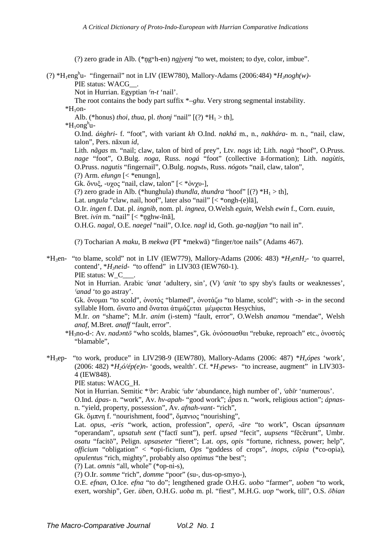(?) zero grade in Alb. (\*n̥gʷh-en) *ngjyenj* "to wet, moisten; to dye, color, imbue".

(?)  $*H_1$ eng<sup>h</sup>u- "fingernail" not in LIV (IEW780), Mallory-Adams (2006:484)  $*H_3nogh(w)$ -PIE status: WACG\_\_.

Not in Hurrian. Egyptian *ˁn-t* 'nail'.

The root contains the body part suffix \*–*ghu*. Very strong segmental instability.

 $*H_1$ on-

Alb. (\*honus) *thoi*, *thua*, pl. *thonj* "nail"  $[(?) * H_1 > th]$ ,

 $*H_1$ ong<sup>h</sup>u-

O.Ind. *áṅghri*- f. "foot", with variant *kh* O.Ind. *nakhá* m., n., *nakhára*- m. n., "nail, claw, talon", Pers. nāxun *id*,

Lith. *nãgas* m. "nail; claw, talon of bird of prey", Ltv. *nags* id; Lith. *nagà* "hoof", O.Pruss. *nage* "foot", O.Bulg. *noga*, Russ. *nogá* "foot" (collective ā-formation); Lith. *nagùtis*, O.Pruss. *nagutis* "fingernail", O.Bulg. *nogъtь*, Russ. *nógotь* "nail, claw, talon",

 $(?)$  Arm. *elungn*  $\leq$  \*enungn],

Gk. ὄνυξ, -υχος "nail, claw, talon"  $\leq$  \*όνχυ-],

- (?) zero grade in Alb. (\*hunghula) *thundla*, *thundra* "hoof"  $[(?) * H_1 > th]$ ,
- Lat. *ungula* "claw, nail, hoof", later also "nail" [< \*ongh-(e)la],

O.Ir. *ingen* f. Dat. pl. *ingnib*, nom. pl. *ingnea*, O.Welsh *eguin*, Welsh *ewin* f., Corn. *euuin*, Bret. *ivin* m. "nail" [< \*nghw-īnā],

O.H.G. *nagal*, O.E. *naegel* "nail", O.Ice. *nagl* id, Goth. *ga-nagljan* "to nail in".

(?) Tocharian A *maku*, B *mekwa* (PT \*mekwā) "finger/toe nails" (Adams 467).

 $*H_3$ en- "to blame, scold" not in LIV (IEW779), Mallory-Adams (2006: 483)  $*H_3$ *enH*<sub>2</sub>- 'to quarrel, contend', \**H3neid*- "to offend" in LIV303 (IEW760-1). PIE status: W\_C\_

Not in Hurrian. Arabic *ˁanat* 'adultery, sin', (V) *ˁanit* 'to spy sby's faults or weaknesses', *ˁanad* 'to go astray'.

Gk. ὄνοµαι "to scold", ὀνοτός "blamed", ὀνοτάζω "to blame, scold"; with -ǝ- in the second syllable Hom. ὤνατο and ὄναται ἀτιμάζεται μέμφεται Hesychius,

M.Ir. *on* "shame"; M.Ir. *anim* (i-stem) "fault, error", O.Welsh *anamou* "mendae", Welsh *anaf*, M.Bret. *anaff* "fault, error".

- \*H3no-d-: Av. *nadǝntō* "who scolds, blames", Gk. ὀνόσσασθαι "rebuke, reproach" etc., ὀνοστός "blamable",
- \*H3ep- "to work, produce" in LIV298-9 (IEW780), Mallory-Adams (2006: 487) \**Hxópes* 'work', (2006: 482)  $*H_2 \delta$ /ép(e)n- 'goods, wealth'. Cf.  $*H_3$ *pews*- "to increase, augment" in LIV303-4 (IEW848).

PIE status: WACG\_H.

Not in Hurrian. Semitic \**ˁbr*: Arabic *ˁubr* 'abundance, high number of', *ˁabīr* 'numerous'.

O.Ind. *ápas*- n. "work", Av. *hv-apah*- "good work"; *ā́pas* n. "work, religious action"; *ápnas*n. "yield, property, possession", Av. *afnah-vant*- "rich",

Gk. ὄµπνη f. "nourishment, food", ὄµπνιος "nourishing",

Lat. *opus*, -*eris* "work, action, profession", *operō*, -*āre* "to work", Oscan *úpsannam* "operandam", *upsatuh sent* ("factī sunt"), perf. *upsed* "fecit", *uupsens* "fēcērunt", Umbr. *osatu* "facitō", Pelign. *upsaseter* "fieret"; Lat. *ops*, *opis* "fortune, richness, power; help", *officium* "obligation" < \*opi-ficium, *Ops* "goddess of crops", *inops*, *cōpia* (\*co-opia), *opulentus* "rich, mighty", probably also *optimus* "the best";

(?) Lat. *omnis* "all, whole" (\*op-ni-s),

(?) O.Ir. *somme* "rich", *domme* "poor" (su-, dus-op-smyo-),

O.E. *efnan*, O.Ice. *efna* "to do"; lengthened grade O.H.G. *uobo* "farmer", *uoben* "to work, exert, worship", Ger. *üben*, O.H.G. *uoba* m. pl. "fiest", M.H.G. *uop* "work, till", O.S. *ōƀian*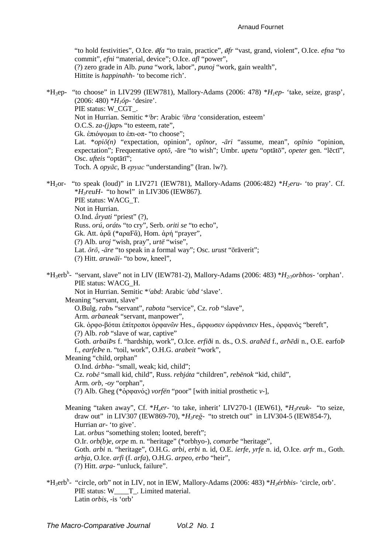"to hold festivities", O.Ice. ofa "to train, practice", of fr "vast, grand, violent", O.Ice. efna "to commit", efni "material, device"; O.Ice. afl "power", (?) zero grade in Alb. puna "work, labor", punoj "work, gain wealth", Hittite is *happinahh*- 'to become rich'.

\*H<sub>3</sub>ep- "to choose" in LIV299 (IEW781), Mallory-Adams (2006: 478) \*H<sub>1</sub>ep- 'take, seize, grasp',  $(2006: 480)$  \* $H_1$ óp- 'desire'. PIE status: W CGT. Not in Hurrian. Semitic \*fbr: Arabic fibra 'consideration, esteem' O.C.S.  $za-(j)$ ap<sub>b</sub> "to esteem, rate", Gk. ἐπιόνομαι to ἐπι-οπ- "to choose": Lat.  $*opi\bar{o}(n)$  "expectation, opinion", *opinor*,  $-\bar{a}ri$  "assume, mean", *opinio* "opinion, expectation"; Frequentative opto, -āre "to wish"; Umbr. upetu "optātō", opeter gen. "lēctī", Osc. *ufteis* "optātī"; Toch. A opyāc, B epyac "understanding" (Iran. lw?).

\*H<sub>2</sub>or- "to speak (loud)" in LIV271 (IEW781), Mallory-Adams (2006:482) \*H<sub>2</sub>eru- 'to pray'. Cf.  $*H<sub>3</sub>reuH-$  "to howl" in LIV306 (IEW867). PIE status: WACG T. Not in Hurrian. O.Ind.  $\hat{a}$ rvati "priest" (?). Russ. orú, oráto "to cry", Serb. oriti se "to echo", Gk. Att. ἀρ $\bar{\alpha}$  (\*αρα $F\bar{\alpha}$ ), Hom. ἀρή "prayer",  $(?)$  Alb. *uroj* "wish, pray", *urtë* "wise", Lat.  $\overline{or}$ , - $\overline{are}$  "to speak in a formal way"; Osc. urust "oraverit"; (?) Hitt. aruwāi- "to bow, kneel",

\*H<sub>3</sub>erb<sup>h</sup>- "servant, slave" not in LIV (IEW781-2), Mallory-Adams (2006: 483) \*H<sub>2/3</sub>orbhos- 'orphan'. PIE status: WACG H. Not in Hurrian. Semitic \*fabd: Arabic fabd 'slave'. Meaning "servant, slave" O.Bulg. rabb "servant", rabota "service", Cz. rob "slave", Arm. arbaneak "servant, manpower", Gk. όρφο-βόται επίτροποι όρφανῶν Hes., ὤρφωσεν ὡρφάνισεν Hes., ὀρφανός "bereft", (?) Alb. *rob* "slave of war, captive" Goth. arbaiPs f. "hardship, work", O.Ice. erfidi n. ds., O.S. arabed f., arbedi n., O.E. earfoP f., earfePe n. "toil, work", O.H.G. arabeit "work", Meaning "child, orphan" O.Ind. *árbha*- "small, weak; kid, child"; Cz. robě "small kid, child", Russ. rebjáta "children", rebënok "kid, child", Arm. orb, -oy "orphan", (?) Alb. Gheg (\*δρφανός) vorfën "poor" [with initial prosthetic v-], Meaning "taken away", Cf. \* $H_{\alpha}$ er- 'to take, inherit' LIV270-1 (IEW61), \* $H_{\beta}$ reuk- "to seize, draw out" in LIV307 (IEW869-70),  $*H_3 re\xi$ - "to stretch out" in LIV304-5 (IEW854-7), Hurrian ar- 'to give'. Lat. *orbus* "something stolen; looted, bereft";

O.Ir. orb(b)e, orpe m. n. "heritage" (\*orbhyo-), comarbe "heritage", Goth. arbi n. "heritage", O.H.G. arbi, erbi n. id, O.E. ierfe, yrfe n. id, O.Ice. arfr m., Goth. arbja, O.Ice. arfi (f. arfa), O.H.G. arpeo, erbo "heir", (?) Hitt. arpa- "unluck. failure".

\*H<sub>3</sub>erb<sup>h</sup>- "circle, orb" not in LIV, not in IEW, Mallory-Adams (2006: 483) \*H<sub>3</sub>érbhis- 'circle, orb'. PIE status: W\_\_\_\_T\_. Limited material. Latin orbis, -is 'orb'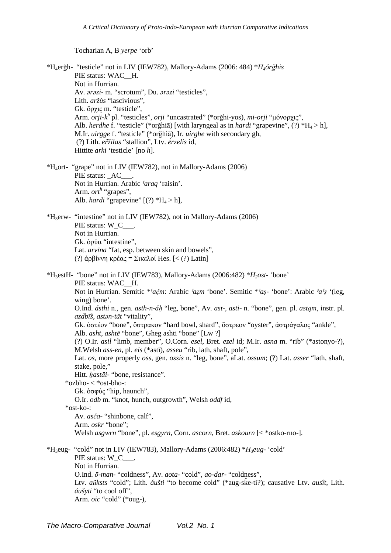Tocharian A, B yerpe 'orb'

\*H<sub>4</sub>erğh- "testicle" not in LIV (IEW782), Mallory-Adams (2006: 484) \*H<sub>4</sub>órğhis PIE status: WAC H. Not in Hurrian. Av. arazi- m. "scrotum", Du. arazi "testicles", Lith. aržùs "lascivious", Gk. ὄργις m. "testicle". Arm. *orji-k*<sup>h</sup> pl. "testicles", *orji* "uncastrated" (\*orghi-yos), *mi-orji* "μόνορχις", Alb. herdhe f. "testicle" (\*orğhiā) [with laryngeal as in hardi "grapevine", (?) \* $H_4 > h$ ], M.Ir. *uirgge* f. "testicle" (\*orghia), Ir. *uirghe* with secondary gh, (?) Lith. eržilas "stallion". Ltv. erzelis id. Hittite arki 'testicle' [no h]. \*H<sub>4</sub>ort- "grape" not in LIV (IEW782), not in Mallory-Adams (2006) PIE status: AC Not in Hurrian. Arabic faraq 'raisin'. Arm.  $ort^h$  "grapes", Alb. *hardi* "grapevine"  $[$ (?)  $*H_4 > h$ ], \*H<sub>3</sub>erw- "intestine" not in LIV (IEW782), not in Mallory-Adams (2006) PIE status: W\_C\_\_\_. Not in Hurrian. Gk. oo o'a "intestine". Lat. arvīna "fat, esp. between skin and bowels", (?) ἀρβίννη κρέας = Σικελοί Hes. [< (?) Latin] \*H<sub>3</sub>estH- "bone" not in LIV (IEW783), Mallory-Adams (2006:482) \*H<sub>2</sub>ost- 'bone' PIE status: WAC H. Not in Hurrian. Semitic \*  $a\check{c}m$ : Arabic  $\check{c}azm$  'bone'. Semitic \*  $\check{c}a\check{s}$  'bone': Arabic  $\check{c}a\check{s}$  '(leg.  $wing) bone'.$ O.Ind. ásthi n., gen. asth-n-áh "leg, bone", Av. ast-, asti- n. "bone", gen. pl. astam, instr. pl. azdbīš, astan-tāt "vitality", Gk. όστέον "bone", όστρακον "hard bowl, shard", όστρεον "oyster", άστράγαλος "ankle", Alb. *asht, ashtë* "bone", Gheg ashti "bone" [Lw ?] (?) O.Ir. asil "limb, member", O.Corn. esel, Bret. ezel id; M.Ir. asna m. "rib" (\*astonyo-?), M. Welsh *ass-en*, pl. *eis* (\*astī), *asseu* "rib, lath, shaft, pole", Lat. os, more properly oss, gen. ossis n. "leg, bone", aLat. ossum; (?) Lat. asser "lath, shaft, stake, pole," Hitt. hastāi- "bone, resistance". \*ozbho- < \*ost-bho-: Gk. ὀσφύς "hip, haunch", O.Ir. odb m. "knot, hunch, outgrowth", Welsh oddf id.  $*$ ost-ko- $\cdot$ Av. asća- "shinbone, calf", Arm. oskr "bone": Welsh *asgwrn* "bone", pl. *esgyrn*, Corn. *ascorn*, Bret. *askourn* [< \*ostko-rno-]. \*H<sub>3</sub>eug- "cold" not in LIV (IEW783), Mallory-Adams (2006:482) \*H<sub>3</sub>eug- 'cold' PIE status: W C . Not in Hurrian. O.Ind. ō-man-"coldness", Av. aota-"cold", ao-dar-"coldness", Ltv. aūksts "cold"; Lith. aušti "to become cold" (\*aug-ske-ti?); causative Ltv. ausît, Lith. áušyti "to cool off", Arm. oic "cold" (\*oug-),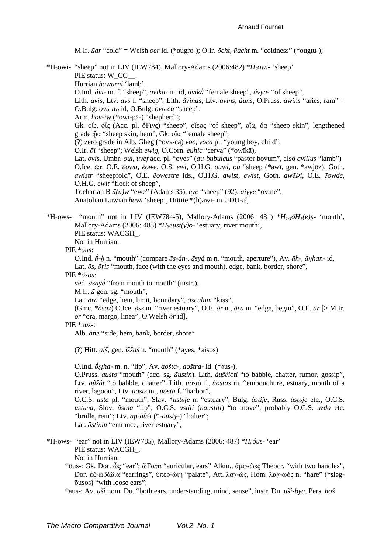M.Ir. ūar "cold" = Welsh oer id. (\*ougro-); O.Ir. ōcht, ūacht m. "coldness" (\*ougtu-);

\*H<sub>2</sub>owi- "sheep" not in LIV (IEW784), Mallory-Adams (2006:482) \* $H_2$ *owi-* 'sheep' PIE status: W CG . Hurrian hawurni 'lamb'. O.Ind. ávi- m. f. "sheep", avika- m. id, avika "female sheep", ávya- "of sheep", Lith. avis, Ltv. avs f. "sheep"; Lith. avinas, Ltv. avins, àuns, O.Pruss. awins "aries, ram" = O.Bulg. ovb-nb id, O.Bulg. ovb-ca "sheep". Arm. hov-iw (\*owi-pā-) "shepherd"; Gk. οἶς, οἶς (Acc. pl. ό̆Fινς) "sheep", οἶεος "of sheep", οἶα, ὄα "sheep skin", lengthened grade ὤα "sheep skin, hem", Gk. οἴα "female sheep", (?) zero grade in Alb. Gheg (\*ovb-ca)  $\nu$ oc,  $\nu$ oca pl. "voung bov, child". O.Ir. ōi "sheep"; Welsh ewig, O.Corn. euhic "cerva" (\*owīkā), Lat. ovis, Umbr. oui, uvef acc. pl. "oves" (au-bubulcus "pastor bovum", also avillus "lamb") O.Ice.  $\bar{x}$ r, O.E.  $\bar{e}$ owu,  $\bar{e}$ owe, O.S. ewi, O.H.G. ouwi, ou "sheep (\*awī, gen. \*awjōz), Goth. awistr "sheepfold", O.E. ēowestre ids., O.H.G. awist, ewist, Goth. awēPi, O.E. ēowde, O.H.G. ewit "flock of sheep", Tocharian B  $\bar{a}(u)w$  "ewe" (Adams 35), eye "sheep" (92), aiyye "ovine", Anatolian Luwian hawi 'sheep', Hittite \*(h)awi- in UDU-iš, \*H<sub>2</sub>ows- "mouth" not in LIV (IEW784-5), Mallory-Adams (2006: 481) \* $H_{1/4}$   $\delta H_1$  (e)s- 'mouth',

Mallory-Adams (2006: 483) \* $H_3eust(y)$ o- 'estuary, river mouth', PIE status: WACGH. Not in Hurrian

PIE  $*_{\bar{O}US}$ :

O.Ind.  $\acute{a}$ -h n. "mouth" (compare  $\bar{a}s$ -án-,  $\bar{a}sy\acute{a}$  m n. "mouth, aperture"), Av.  $\bar{a}h$ -,  $\bar{a}ghan$ - id, Lat.  $\bar{a}s$ ,  $\bar{a}ris$  "mouth, face (with the eyes and mouth), edge, bank, border, shore",

PIE  $*_{\bar{O}SOS}$ :

ved.  $\bar{a} s a y \bar{a}$  "from mouth to mouth" (instr.),

M.Ir.  $\bar{a}$  gen. sg. "mouth",

Lat.  $\bar{o}ra$  "edge, hem, limit, boundary",  $\bar{o}sculum$  "kiss",

(Gmc. \* $\bar{o}saz$ ) O.Ice.  $\bar{o}ss$  m. "river estuary", O.E.  $\bar{o}r$  n.,  $\bar{o}ra$  m. "edge, begin", O.E.  $\bar{o}r$  [> M.Ir. or "ora, margo, linea", O.Welsh  $\bar{0}r$  id],

 $PIE * aus$ 

Alb. anë "side, hem, bank, border, shore"

(?) Hitt. *aiš*, gen. *iššaš* n. "mouth" (\*ayes, \*aisos)

O.Ind.  $\acute{\sigma}$ stha- m. n. "lip", Av. aošta-, aoštra- id. (\* $\sigma$ us-), O.Pruss. austo "mouth" (acc. sg. āustin), Lith. áuščioti "to babble, chatter, rumor, gossip",

Ltv. aūšât "to babble, chatter", Lith. uostà f., úostas m. "embouchure, estuary, mouth of a river, lagoon", Ltv. uosts m., uōsta f. "harbor", O.C.S. usta pl. "mouth": Slav. \*ustbie n. "estuary". Bulg. ústiie. Russ. ústbie etc., O.C.S.

ustona, Slov. ûstna "lip"; O.C.S. ustiti (naustiti) "to move"; probably O.C.S. uzda etc. "bridle, rein"; Ltv. ap-aûši (\*-austy-) "halter"; Lat. *ostium* "entrance, river estuary",

- \*H<sub>2</sub>ows- "ear" not in LIV (IEW785), Mallory-Adams (2006: 487) \* $H_a$ óus- 'ear' PIE status: WACGH. Not in Hurrian
	- \*δus-: Gk. Dor. ὦς "ear": ὤFατα "auricular, ears" Alkm., ἀμφ-ὦες Theocr. "with two handles", Dor. ἐξ-ωβάδια "earrings", ύπερ-ώιη "palate", Att. λαγ-ώς, Hom. λαγ-ωός n. "hare" (\*slagousos) "with loose ears":

\*aus-: Av. uši nom. Du. "both ears, understanding, mind, sense", instr. Du. uši-bya, Pers. hoš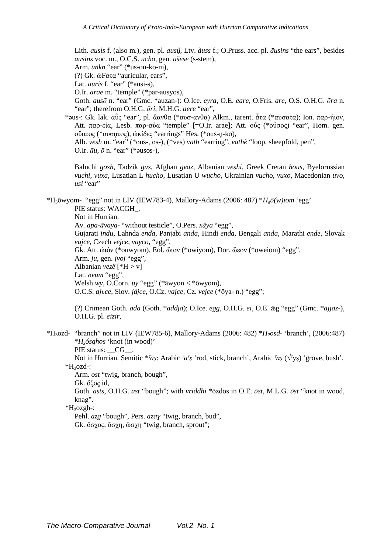Lith. ausìs f. (also m.), gen. pl. ausų̃, Ltv. àuss f.; O.Pruss. acc. pl. āusins "the ears", besides ausins voc. m., O.C.S. ucho, gen. ušese (s-stem),

Arm. unkn "ear" (\*us-on-ko-m),

(?) Gk. ὤFατα "auricular, ears".

Lat. *auris* f. "ear" (\*ausi-s).

O.Ir. arae m. "temple" (\*par-ausyos),

Goth. auso n. "ear" (Gmc. \*auzan-): O.Ice. eyra, O.E. eare, O.Fris. are, O.S. O.H.G. ora n. "ear"; therefrom O.H.G.  $\bar{0}ri$ , M.H.G. aere "ear",

\*aus-: Gk. lak. αὖς "ear", pl. ἄανθα (\*αυσ-ανθα) Alkm., tarent. ἆτα (\*αυσατα); Ion. παρ-ήιον, Att. παρ-εία, Lesb. παρ-αύα "temple" [=O.Ir. arae]; Att. οὖς (\*οὖσος) "ear", Hom. gen. ούατος (\*ουσητος), ωκίδες "earrings" Hes. (\*ous-n-ko), Alb. *vesh* m. "ear" (\*ōus-, ōs-), (\*ves) *vath* "earring", *vathë* "loop, sheepfold, pen". O.Ir.  $\bar{a}u$ ,  $\bar{o}$  n. "ear" (\*ausos-),

Baluchi gosh, Tadzik gus, Afghan gvaz, Albanian veshi, Greek Cretan hous, Byelorussian vuchi, vuxa, Lusatian L hucho, Lusatian U wucho, Ukrainian vucho, vuxo, Macedonian uvo, usi "ear"

\*H<sub>3</sub> $\bar{\sigma}$ wyom- "egg" not in LIV (IEW783-4), Mallory-Adams (2006: 487) \*H<sub>2</sub> $\bar{\sigma}$ (w)iom 'egg' PIE status: WACGH.

Not in Hurrian.

Av. apa-āvaya- "without testicle", O.Pers. xāya "egg",

Gujarati indu, Lahnda enda, Panjabi anda, Hindi enda, Bengali anda, Marathi ende, Slovak vajce, Czech vejce, vayco, "egg",

Gk. Att. ωπόν (\*δuwyom), Eol. ώτον (\*δwiyom), Dor. ώεον (\*δweiom) "egg",

Arm. ju, gen. jvoj "egg",

Albanian vezë [\* $H > v$ ]

Lat. ovum "egg",

Welsh wy, O.Corn. uy "egg" (\* $\bar{a}$ wyon < \* $\bar{o}$ wyom),

O.C.S. ajbce, Slov. jájce, O.Cz. vajce, Cz. vejce (\*ōya- n.) "egg";

(?) Crimean Goth. ada (Goth. \*addja); O.Ice. egg, O.H.G. ei, O.E.  $\bar{z}$ g "egg" (Gmc. \*ajjaz-), O.H.G. pl. eizir,

 $*H_3ozd$ - "branch" not in LIV (IEW785-6), Mallory-Adams (2006: 482)  $*H_2osd$ - 'branch', (2006: 487)  $*H<sub>x</sub>$ ósghos 'knot (in wood)' PIE status: CG.

Not in Hurrian. Semitic \*  $s$ as: Arabic  $a$ <sup>c</sup>s 'rod, stick, branch', Arabic  $\bar{a}s$  ( $\sqrt{s}$ ss) 'grove, bush'. \*H<sub>3</sub>ozd-:

Arm. ost "twig, branch, bough", Gk. ὄζος id,

Goth. asts, O.H.G. ast "bough"; with vriddhi \*ōzdos in O.E. ōst, M.L.G. ōst "knot in wood, knag".

 $*H<sub>3</sub>ozgh-$ :

Pehl. azg "bough", Pers. azay "twig, branch, bud", Gk. ὄσχος, ὄσχη, ὤσχη "twig, branch, sprout";